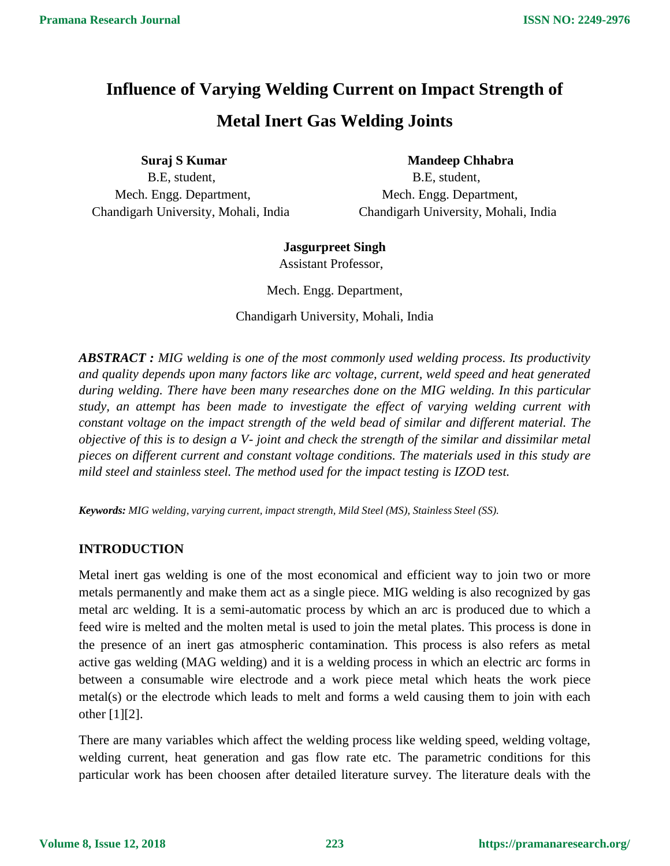# **Influence of Varying Welding Current on Impact Strength of Metal Inert Gas Welding Joints**

**Suraj S Kumar** Mandeep Chhabra B.E, student, B.E, student, Mech. Engg. Department, Mech. Engg. Department, Chandigarh University, Mohali, India Chandigarh University, Mohali, India

# **Jasgurpreet Singh**

Assistant Professor,

Mech. Engg. Department,

Chandigarh University, Mohali, India

*ABSTRACT : MIG welding is one of the most commonly used welding process. Its productivity and quality depends upon many factors like arc voltage, current, weld speed and heat generated during welding. There have been many researches done on the MIG welding. In this particular study, an attempt has been made to investigate the effect of varying welding current with constant voltage on the impact strength of the weld bead of similar and different material. The objective of this is to design a V- joint and check the strength of the similar and dissimilar metal pieces on different current and constant voltage conditions. The materials used in this study are mild steel and stainless steel. The method used for the impact testing is IZOD test.*

*Keywords: MIG welding, varying current, impact strength, Mild Steel (MS), Stainless Steel (SS).*

# **INTRODUCTION**

Metal inert gas welding is one of the most economical and efficient way to join two or more metals permanently and make them act as a single piece. MIG welding is also recognized by gas metal arc welding. It is a semi-automatic process by which an arc is produced due to which a feed wire is melted and the molten metal is used to join the metal plates. This process is done in the presence of an inert gas atmospheric contamination. This process is also refers as metal active gas welding (MAG welding) and it is a welding process in which an electric arc forms in between a consumable wire electrode and a work piece metal which heats the work piece metal(s) or the electrode which leads to melt and forms a weld causing them to join with each other [1][2].

There are many variables which affect the welding process like welding speed, welding voltage, welding current, heat generation and gas flow rate etc. The parametric conditions for this particular work has been choosen after detailed literature survey. The literature deals with the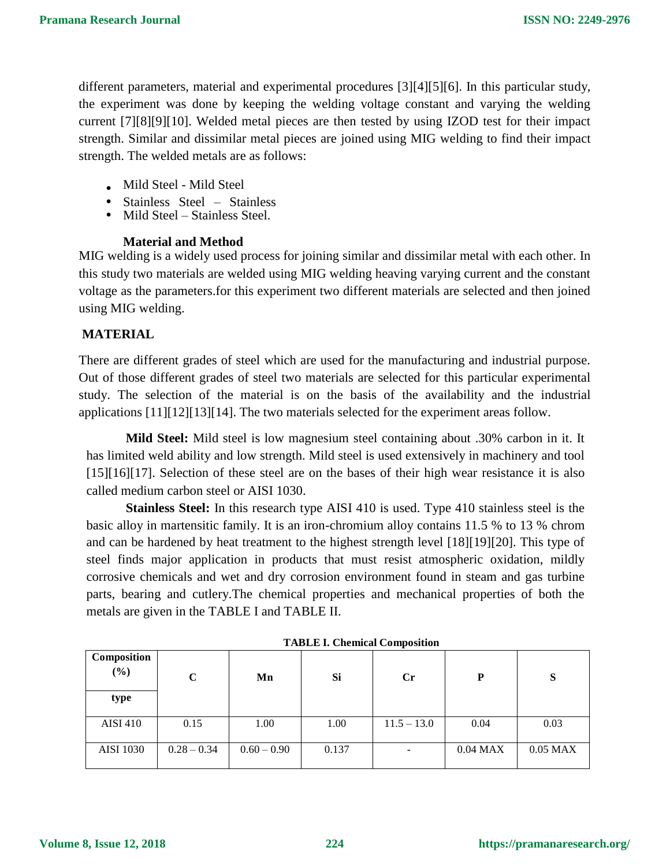different parameters, material and experimental procedures [3][4][5][6]. In this particular study, the experiment was done by keeping the welding voltage constant and varying the welding current [7][8][9][10]. Welded metal pieces are then tested by using IZOD test for their impact strength. Similar and dissimilar metal pieces are joined using MIG welding to find their impact strength. The welded metals are as follows:

- . Mild Steel Mild Steel
- Stainless Steel Stainless
- Mild Steel Stainless Steel.

#### **Material and Method**

this study two materials are welded using MIG welding heaving varying current and the constant MIG welding is a widely used process for joining similar and dissimilar metal with each other. In voltage as the parameters.for this experiment two different materials are selected and then joined using MIG welding.

## **MATERIAL**

There are different grades of steel which are used for the manufacturing and industrial purpose. Out of those different grades of steel two materials are selected for this particular experimental study. The selection of the material is on the basis of the availability and the industrial applications [11][12][13][14]. The two materials selected for the experiment areas follow.

**Mild Steel:** Mild steel is low magnesium steel containing about .30% carbon in it. It has limited weld ability and low strength. Mild steel is used extensively in machinery and tool [15][16][17]. Selection of these steel are on the bases of their high wear resistance it is also called medium carbon steel or AISI 1030.

**Stainless Steel:** In this research type AISI 410 is used. Type 410 stainless steel is the basic alloy in martensitic family. It is an iron-chromium alloy contains 11.5 % to 13 % chrom and can be hardened by heat treatment to the highest strength level [18][19][20]. This type of steel finds major application in products that must resist atmospheric oxidation, mildly corrosive chemicals and wet and dry corrosion environment found in steam and gas turbine parts, bearing and cutlery.The chemical properties and mechanical properties of both the metals are given in the TABLE I and TABLE II.

| Composition<br>$(\%)$ | C             | Mn            | Si    | Cr            | P          | Q<br>P     |
|-----------------------|---------------|---------------|-------|---------------|------------|------------|
| type                  |               |               |       |               |            |            |
| <b>AISI 410</b>       | 0.15          | 1.00          | 1.00  | $11.5 - 13.0$ | 0.04       | 0.03       |
| <b>AISI 1030</b>      | $0.28 - 0.34$ | $0.60 - 0.90$ | 0.137 |               | $0.04$ MAX | $0.05$ MAX |

**TABLE I. Chemical Composition**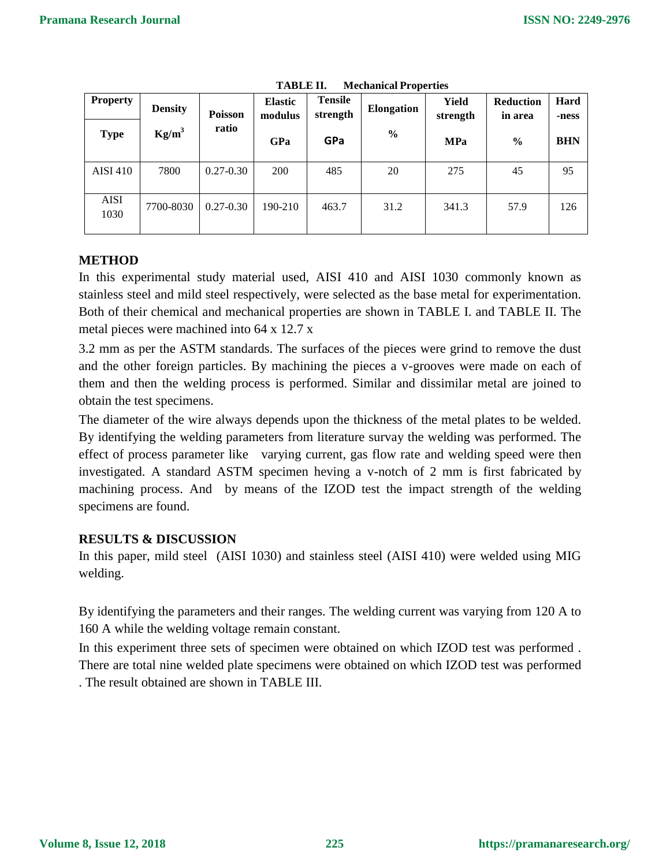| <b>Property</b><br><b>Type</b> | <b>Density</b><br>$Kg/m^3$ | Poisson<br>ratio | <b>Elastic</b><br>modulus<br>GPa | <b>Tensile</b><br>strength<br>GPa | <b>Elongation</b><br>$\%$ | Yield<br>strength<br><b>MPa</b> | <b>Reduction</b><br>in area<br>$\frac{0}{0}$ | Hard<br>-ness<br><b>BHN</b> |
|--------------------------------|----------------------------|------------------|----------------------------------|-----------------------------------|---------------------------|---------------------------------|----------------------------------------------|-----------------------------|
| <b>AISI 410</b>                | 7800                       | $0.27 - 0.30$    | 200                              | 485                               | 20                        | 275                             | 45                                           | 95                          |
| <b>AISI</b><br>1030            | 7700-8030                  | $0.27 - 0.30$    | 190-210                          | 463.7                             | 31.2                      | 341.3                           | 57.9                                         | 126                         |

**TABLE II. Mechanical Properties**

#### **METHOD**

In this experimental study material used, AISI 410 and AISI 1030 commonly known as stainless steel and mild steel respectively, were selected as the base metal for experimentation. Both of their chemical and mechanical properties are shown in TABLE I. and TABLE II. The metal pieces were machined into 64 x 12.7 x

3.2 mm as per the ASTM standards. The surfaces of the pieces were grind to remove the dust and the other foreign particles. By machining the pieces a v-grooves were made on each of them and then the welding process is performed. Similar and dissimilar metal are joined to obtain the test specimens.

The diameter of the wire always depends upon the thickness of the metal plates to be welded. By identifying the welding parameters from literature survay the welding was performed. The effect of process parameter like varying current, gas flow rate and welding speed were then investigated. A standard ASTM specimen heving a v-notch of 2 mm is first fabricated by machining process. And by means of the IZOD test the impact strength of the welding specimens are found.

#### **RESULTS & DISCUSSION**

In this paper, mild steel (AISI 1030) and stainless steel (AISI 410) were welded using MIG welding.

By identifying the parameters and their ranges. The welding current was varying from 120 A to 160 A while the welding voltage remain constant.

In this experiment three sets of specimen were obtained on which IZOD test was performed . There are total nine welded plate specimens were obtained on which IZOD test was performed

. The result obtained are shown in TABLE III.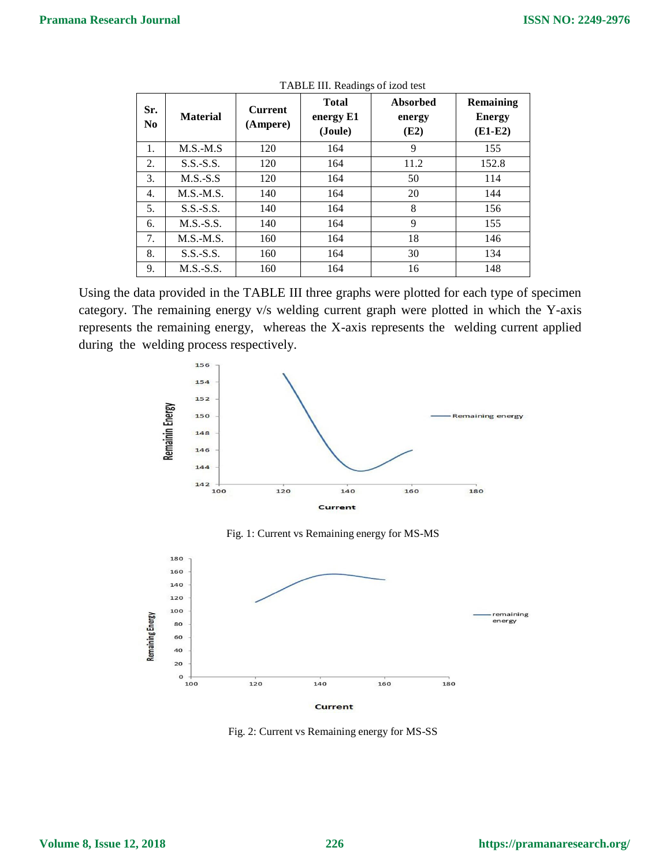| Sr.<br>N <sub>0</sub> | <b>Material</b> | <b>Current</b><br>(Ampere) | <b>Total</b><br>energy E1<br>(Joule) | Absorbed<br>energy<br>(E2) | Remaining<br><b>Energy</b><br>$(E1-E2)$ |
|-----------------------|-----------------|----------------------------|--------------------------------------|----------------------------|-----------------------------------------|
| 1.                    | $M.S.-M.S$      | 120                        | 164                                  | 9                          | 155                                     |
| 2.                    | $S.S.-S.S.$     | 120                        | 164                                  | 11.2                       | 152.8                                   |
| 3.                    | $M.S.-S.S$      | 120                        | 164                                  | 50                         | 114                                     |
| 4.                    | $M.S.-M.S.$     | 140                        | 164                                  | 20                         | 144                                     |
| 5.                    | $S.S.-S.S.$     | 140                        | 164                                  | 8                          | 156                                     |
| 6.                    | $M.S.-S.S.$     | 140                        | 164                                  | 9                          | 155                                     |
| 7.                    | $M.S.-M.S.$     | 160                        | 164                                  | 18                         | 146                                     |
| 8.                    | $S.S.-S.S.$     | 160                        | 164                                  | 30                         | 134                                     |
| 9.                    | $M.S.-S.S.$     | 160                        | 164                                  | 16                         | 148                                     |

TABLE III. Readings of izod test

Using the data provided in the TABLE III three graphs were plotted for each type of specimen category. The remaining energy v/s welding current graph were plotted in which the Y-axis represents the remaining energy, whereas the X-axis represents the welding current applied during the welding process respectively.



Fig. 1: Current vs Remaining energy for MS-MS



Fig. 2: Current vs Remaining energy for MS-SS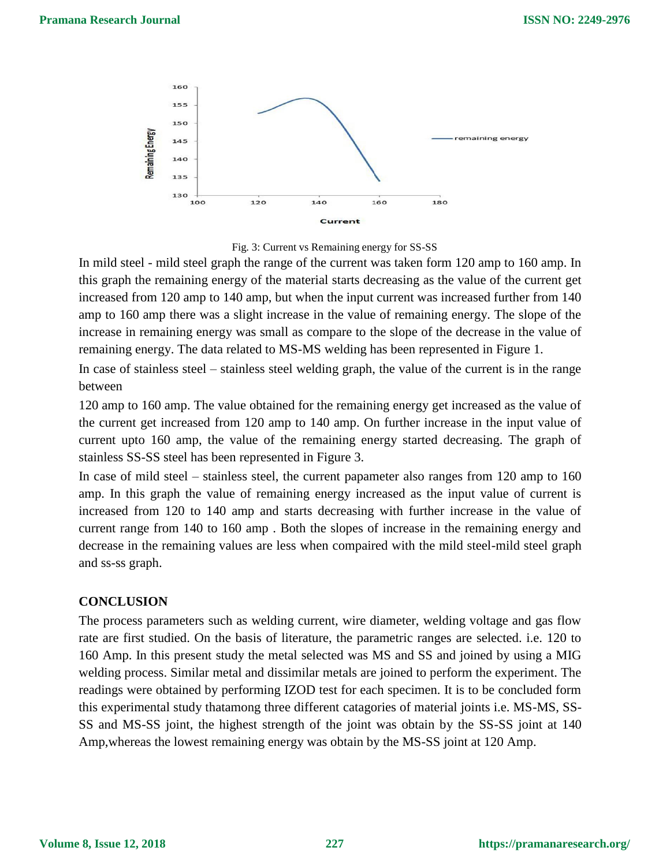



In mild steel - mild steel graph the range of the current was taken form 120 amp to 160 amp. In this graph the remaining energy of the material starts decreasing as the value of the current get increased from 120 amp to 140 amp, but when the input current was increased further from 140 amp to 160 amp there was a slight increase in the value of remaining energy. The slope of the increase in remaining energy was small as compare to the slope of the decrease in the value of remaining energy. The data related to MS-MS welding has been represented in Figure 1.

In case of stainless steel – stainless steel welding graph, the value of the current is in the range between

120 amp to 160 amp. The value obtained for the remaining energy get increased as the value of the current get increased from 120 amp to 140 amp. On further increase in the input value of current upto 160 amp, the value of the remaining energy started decreasing. The graph of stainless SS-SS steel has been represented in Figure 3.

In case of mild steel – stainless steel, the current papameter also ranges from 120 amp to 160 amp. In this graph the value of remaining energy increased as the input value of current is increased from 120 to 140 amp and starts decreasing with further increase in the value of current range from 140 to 160 amp . Both the slopes of increase in the remaining energy and decrease in the remaining values are less when compaired with the mild steel-mild steel graph and ss-ss graph.

#### **CONCLUSION**

The process parameters such as welding current, wire diameter, welding voltage and gas flow rate are first studied. On the basis of literature, the parametric ranges are selected. i.e. 120 to 160 Amp. In this present study the metal selected was MS and SS and joined by using a MIG welding process. Similar metal and dissimilar metals are joined to perform the experiment. The readings were obtained by performing IZOD test for each specimen. It is to be concluded form this experimental study thatamong three different catagories of material joints i.e. MS-MS, SS-SS and MS-SS joint, the highest strength of the joint was obtain by the SS-SS joint at 140 Amp,whereas the lowest remaining energy was obtain by the MS-SS joint at 120 Amp.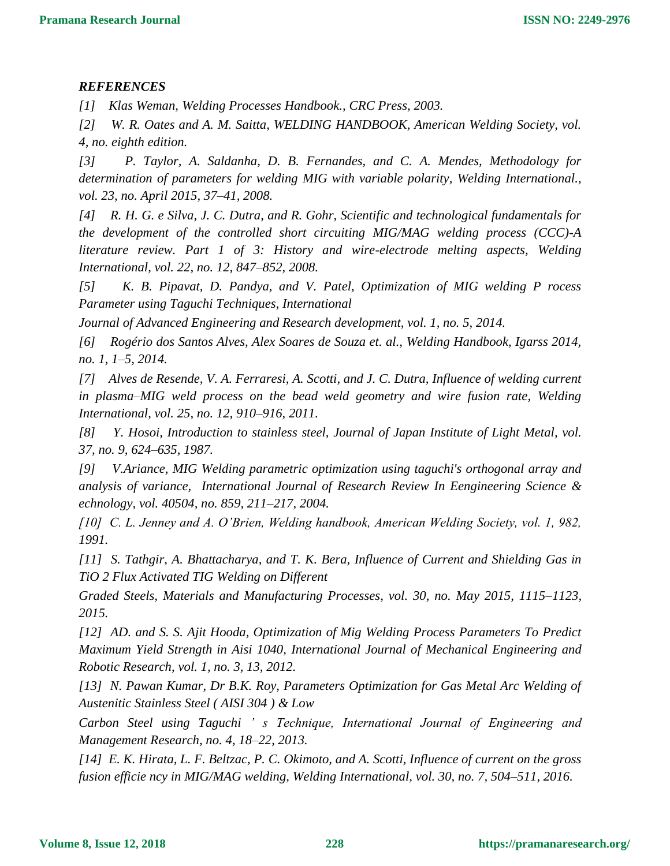## *REFERENCES*

*[1] Klas Weman, Welding Processes Handbook., CRC Press, 2003.*

*[2] W. R. Oates and A. M. Saitta, WELDING HANDBOOK, American Welding Society, vol. 4, no. eighth edition.*

*[3] P. Taylor, A. Saldanha, D. B. Fernandes, and C. A. Mendes, Methodology for determination of parameters for welding MIG with variable polarity, Welding International., vol. 23, no. April 2015, 37–41, 2008.*

*[4] R. H. G. e Silva, J. C. Dutra, and R. Gohr, Scientific and technological fundamentals for the development of the controlled short circuiting MIG/MAG welding process (CCC)-A literature review. Part 1 of 3: History and wire-electrode melting aspects, Welding International, vol. 22, no. 12, 847–852, 2008.*

*[5] K. B. Pipavat, D. Pandya, and V. Patel, Optimization of MIG welding P rocess Parameter using Taguchi Techniques, International*

*Journal of Advanced Engineering and Research development, vol. 1, no. 5, 2014.*

*[6] Rogério dos Santos Alves, Alex Soares de Souza et. al., Welding Handbook, Igarss 2014, no. 1, 1–5, 2014.*

*[7] Alves de Resende, V. A. Ferraresi, A. Scotti, and J. C. Dutra, Influence of welding current in plasma–MIG weld process on the bead weld geometry and wire fusion rate, Welding International, vol. 25, no. 12, 910–916, 2011.*

*[8] Y. Hosoi, Introduction to stainless steel, Journal of Japan Institute of Light Metal, vol. 37, no. 9, 624–635, 1987.*

*[9] V.Ariance, MIG Welding parametric optimization using taguchi's orthogonal array and analysis of variance, International Journal of Research Review In Eengineering Science & echnology, vol. 40504, no. 859, 211–217, 2004.*

*[10] C. L. Jenney and A. O'Brien, Welding handbook, American Welding Society, vol. 1, 982, 1991.*

*[11] S. Tathgir, A. Bhattacharya, and T. K. Bera, Influence of Current and Shielding Gas in TiO 2 Flux Activated TIG Welding on Different*

*Graded Steels, Materials and Manufacturing Processes, vol. 30, no. May 2015, 1115–1123, 2015.*

*[12] AD. and S. S. Ajit Hooda, Optimization of Mig Welding Process Parameters To Predict Maximum Yield Strength in Aisi 1040, International Journal of Mechanical Engineering and Robotic Research, vol. 1, no. 3, 13, 2012.*

*[13] N. Pawan Kumar, Dr B.K. Roy, Parameters Optimization for Gas Metal Arc Welding of Austenitic Stainless Steel ( AISI 304 ) & Low*

*Carbon Steel using Taguchi ' s Technique, International Journal of Engineering and Management Research, no. 4, 18–22, 2013.*

*[14] E. K. Hirata, L. F. Beltzac, P. C. Okimoto, and A. Scotti, Influence of current on the gross fusion efficie ncy in MIG/MAG welding, Welding International, vol. 30, no. 7, 504–511, 2016.*